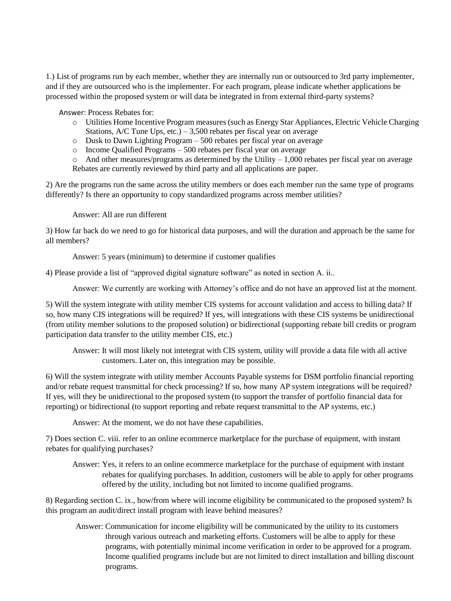1.) List of programs run by each member, whether they are internally run or outsourced to 3rd party implementer, and if they are outsourced who is the implementer. For each program, please indicate whether applications be processed within the proposed system or will data be integrated in from external third-party systems?

Answer: Process Rebates for:

- o Utilities Home Incentive Program measures (such as Energy Star Appliances, Electric Vehicle Charging Stations,  $A/C$  Tune Ups, etc.) – 3,500 rebates per fiscal year on average
- o Dusk to Dawn Lighting Program 500 rebates per fiscal year on average
- o Income Qualified Programs 500 rebates per fiscal year on average

 $\circ$  And other measures/programs as determined by the Utility – 1,000 rebates per fiscal year on average Rebates are currently reviewed by third party and all applications are paper.

2) Are the programs run the same across the utility members or does each member run the same type of programs differently? Is there an opportunity to copy standardized programs across member utilities?

Answer: All are run different

3) How far back do we need to go for historical data purposes, and will the duration and approach be the same for all members?

Answer: 5 years (minimum) to determine if customer qualifies

4) Please provide a list of "approved digital signature software" as noted in section A. ii..

Answer: We currently are working with Attorney's office and do not have an approved list at the moment.

5) Will the system integrate with utility member CIS systems for account validation and access to billing data? If so, how many CIS integrations will be required? If yes, will integrations with these CIS systems be unidirectional (from utility member solutions to the proposed solution) or bidirectional (supporting rebate bill credits or program participation data transfer to the utility member CIS, etc.)

Answer: It will most likely not intetegrat with CIS system, utility will provide a data file with all active customers. Later on, this integration may be possible.

6) Will the system integrate with utility member Accounts Payable systems for DSM portfolio financial reporting and/or rebate request transmittal for check processing? If so, how many AP system integrations will be required? If yes, will they be unidirectional to the proposed system (to support the transfer of portfolio financial data for reporting) or bidirectional (to support reporting and rebate request transmittal to the AP systems, etc.)

Answer: At the moment, we do not have these capabilities.

7) Does section C. viii. refer to an online ecommerce marketplace for the purchase of equipment, with instant rebates for qualifying purchases?

Answer: Yes, it refers to an online ecommerce marketplace for the purchase of equipment with instant rebates for qualifying purchases. In addition, customers will be able to apply for other programs offered by the utility, including but not limited to income qualified programs.

8) Regarding section C. ix., how/from where will income eligibility be communicated to the proposed system? Is this program an audit/direct install program with leave behind measures?

Answer: Communication for income eligibility will be communicated by the utility to its customers through various outreach and marketing efforts. Customers will be albe to apply for these programs, with potentially minimal income verification in order to be approved for a program. Income qualified programs include but are not limited to direct installation and billing discount programs.